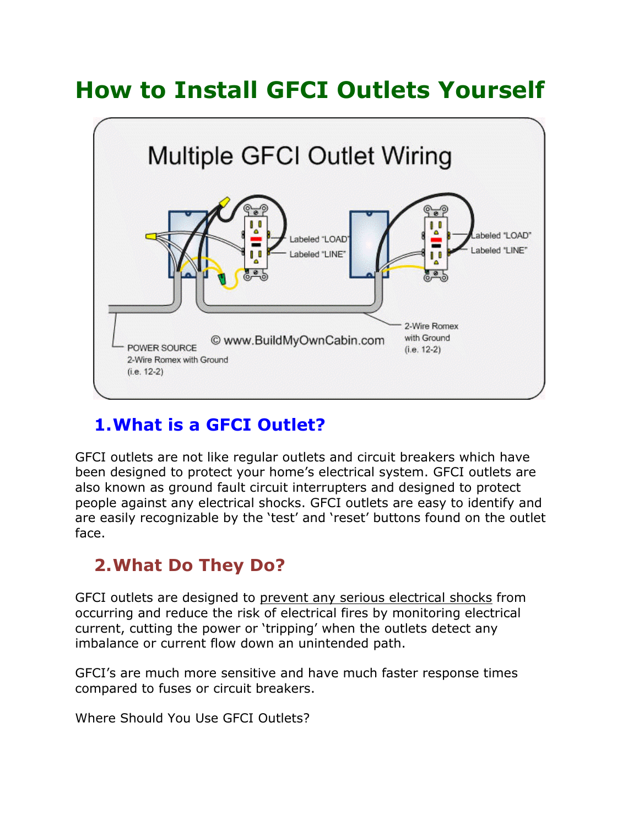# **How to Install GFCI Outlets Yourself**



# **1.What is a GFCI Outlet?**

GFCI outlets are not like regular outlets and circuit breakers which have been designed to protect your home's electrical system. GFCI outlets are also known as ground fault circuit interrupters and designed to protect people against any electrical shocks. GFCI outlets are easy to identify and are easily recognizable by the 'test' and 'reset' buttons found on the outlet face.

## **2.What Do They Do?**

GFCI outlets are designed to [prevent any serious electrical shocks](https://sebringdesignbuild.com/simple-tips-to-keep-your-home-safe-from-electrical-shocks/) from occurring and reduce the risk of electrical fires by monitoring electrical current, cutting the power or 'tripping' when the outlets detect any imbalance or current flow down an unintended path.

GFCI's are much more sensitive and have much faster response times compared to fuses or circuit breakers.

Where Should You Use GFCI Outlets?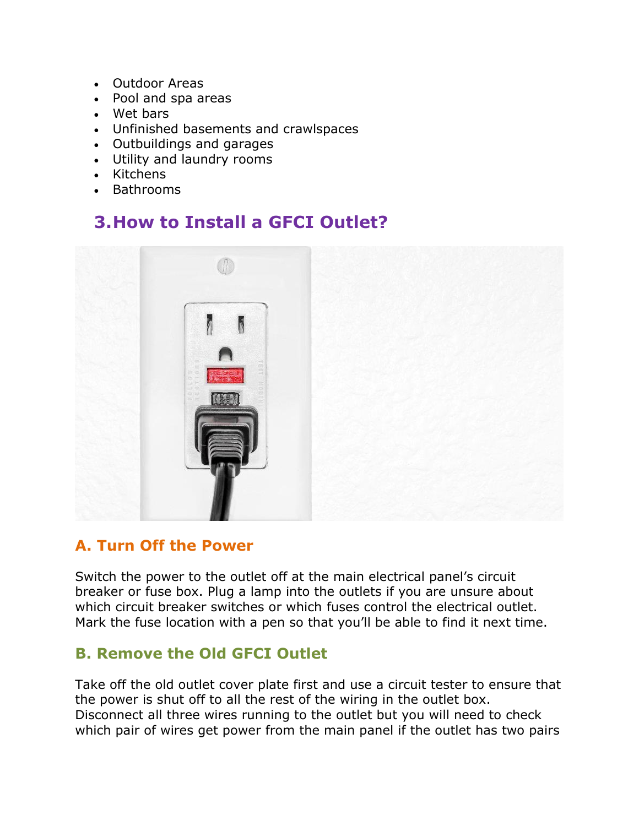- Outdoor Areas
- Pool and spa areas
- Wet bars
- Unfinished basements and crawlspaces
- Outbuildings and garages
- Utility and laundry rooms
- Kitchens
- Bathrooms

# **3.How to Install a GFCI Outlet?**



#### **A. Turn Off the Power**

Switch the power to the outlet off at the main electrical panel's circuit breaker or fuse box. Plug a lamp into the outlets if you are unsure about which circuit breaker switches or which fuses control the electrical outlet. Mark the fuse location with a pen so that you'll be able to find it next time.

#### **B. Remove the Old GFCI Outlet**

Take off the old outlet cover plate first and use a circuit tester to ensure that the power is shut off to all the rest of the wiring in the outlet box. Disconnect all three wires running to the outlet but you will need to check which pair of wires get power from the main panel if the outlet has two pairs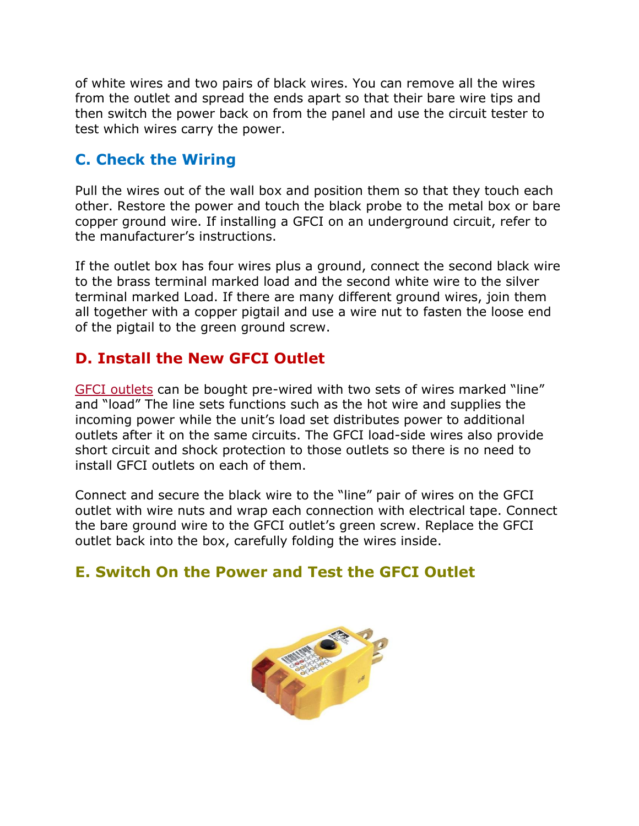of white wires and two pairs of black wires. You can remove all the wires from the outlet and spread the ends apart so that their bare wire tips and then switch the power back on from the panel and use the circuit tester to test which wires carry the power.

### **C. Check the Wiring**

Pull the wires out of the wall box and position them so that they touch each other. Restore the power and touch the black probe to the metal box or bare copper ground wire. If installing a GFCI on an underground circuit, refer to the manufacturer's instructions.

If the outlet box has four wires plus a ground, connect the second black wire to the brass terminal marked load and the second white wire to the silver terminal marked Load. If there are many different ground wires, join them all together with a copper pigtail and use a wire nut to fasten the loose end of the pigtail to the green ground screw.

## **D. Install the New GFCI Outlet**

[GFCI outlets](http://www.dfliq.net/what-is-gfci-outlet/) can be bought pre-wired with two sets of wires marked "line" and "load" The line sets functions such as the hot wire and supplies the incoming power while the unit's load set distributes power to additional outlets after it on the same circuits. The GFCI load-side wires also provide short circuit and shock protection to those outlets so there is no need to install GFCI outlets on each of them.

Connect and secure the black wire to the "line" pair of wires on the GFCI outlet with wire nuts and wrap each connection with electrical tape. Connect the bare ground wire to the GFCI outlet's green screw. Replace the GFCI outlet back into the box, carefully folding the wires inside.

## **E. Switch On the Power and Test the GFCI Outlet**